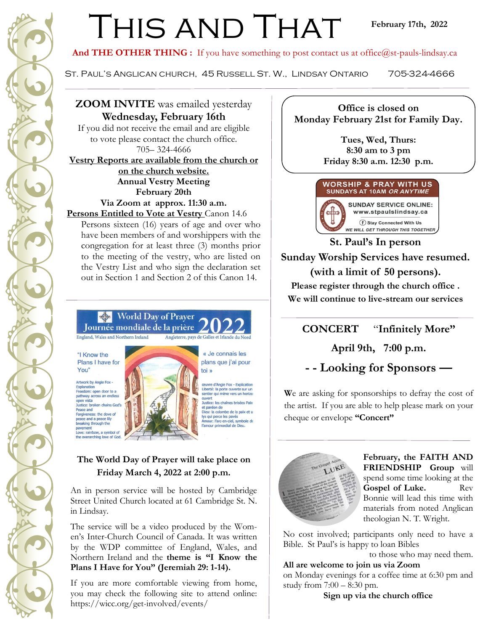## THIS AND THAT

And THE OTHER THING : If you have something to post contact us at office@st-pauls-lindsay.ca

St. Paul's Anglican church, 45 Russell St. W., Lindsay Ontario 705-324-4666

#### **ZOOM INVITE** was emailed yesterday **Wednesday, February 16th**

If you did not receive the email and are eligible to vote please contact the church office. 705– 324-4666 **Vestry Reports are available from the church or on the church website. Annual Vestry Meeting February 20th Via Zoom at approx. 11:30 a.m.**

**Persons Entitled to Vote at Vestry** Canon 14.6

Persons sixteen (16) years of age and over who have been members of and worshippers with the congregation for at least three (3) months prior to the meeting of the vestry, who are listed on the Vestry List and who sign the declaration set out in Section 1 and Section 2 of this Canon 14.

#### World Day of Prayer Journée mondiale de la prière

**England, Wales and Northern Ireland** Angleterre, pays de Galles et Irlande du Nord

"I Know the Plans I have for You"

Artwork by Angie Fox -Explanation<br>Freedom: open door to a pathway across an endless open vista Justice: broken chains God's Peace and Forgiveness: the dove of peace and a peace lily breaking through the Love: rainbow, a symbol of<br>the overarching love of God.



#### plans que j'ai pour toi » deuvre d'Angie Fox - Explication<br>Liberté: la porte ouverte sur un<br>sentier qui mène vers un horizo

« Je connais les

puvert Justice: les chaînes brisées Paix Justice: les chaines brisees Paix<br>et pardon de<br>Dieu: la colombe de la paix et u<br>lys qui perce les pavés<br>Amour: l'arc-en-ciel, symbole de<br>l'amour primordial de Dieu.

#### **The World Day of Prayer will take place on Friday March 4, 2022 at 2:00 p.m.**

An in person service will be hosted by Cambridge Street United Church located at 61 Cambridge St. N. in Lindsay.

The service will be a video produced by the Women's Inter-Church Council of Canada. It was written by the WDP committee of England, Wales, and Northern Ireland and the **theme is "I Know the Plans I Have for You" (Jeremiah 29: 1-14).**

If you are more comfortable viewing from home, you may check the following site to attend online: https://wicc.org/get-involved/events/

**Office is closed on Monday February 21st for Family Day.**

> **Tues, Wed, Thurs: 8:30 am to 3 pm Friday 8:30 a.m. 12:30 p.m.**



**SUNDAY SERVICE ONLINE:** www.stpaulslindsay.ca f Stay Connected With Us WE WILL GET THROUGH THIS TOGETHER

**St. Paul's In person Sunday Worship Services have resumed. (with a limit of 50 persons). Please register through the church office .**

**We will continue to live-stream our services** 

**CONCERT** "**Infinitely More"** 

**April 9th, 7:00 p.m.** 

**- - Looking for Sponsors —**

**W**e are asking for sponsorships to defray the cost of the artist. If you are able to help please mark on your cheque or envelope **"Concert"** 



**February, the FAITH AND FRIENDSHIP Group** will spend some time looking at the Gospel of Luke. Rev Bonnie will lead this time with materials from noted Anglican theologian N. T. Wright.

No cost involved; participants only need to have a Bible. St Paul's is happy to loan Bibles

to those who may need them.

**All are welcome to join us via Zoom**  on Monday evenings for a coffee time at 6:30 pm and study from 7:00 – 8:30 pm.

**Sign up via the church office**